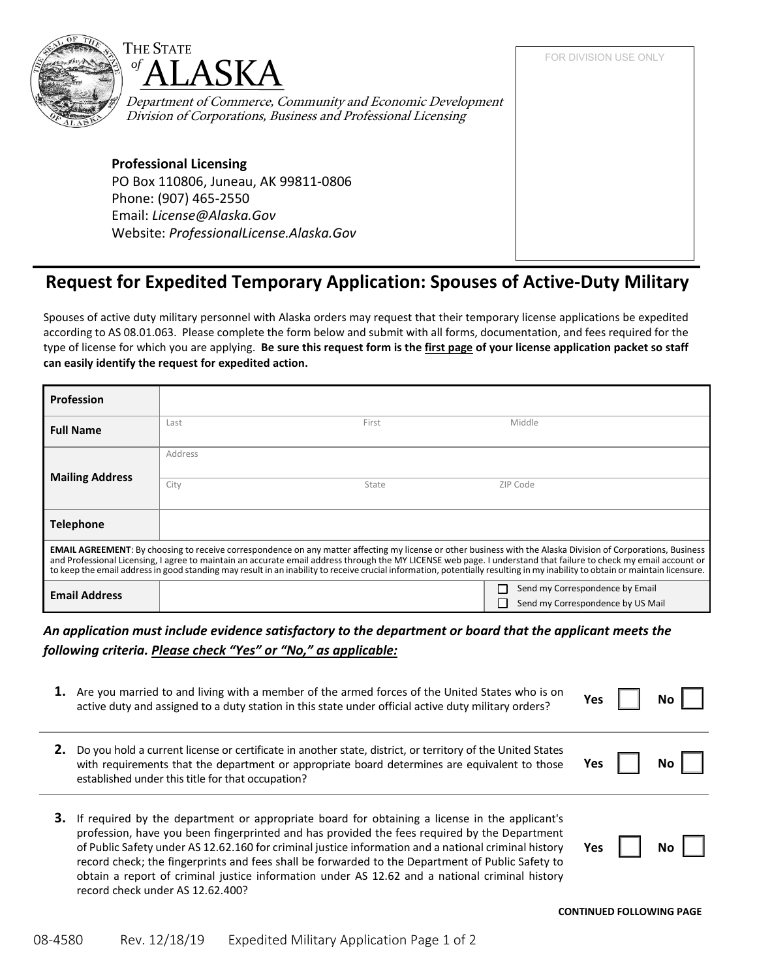



Department of Commerce, Community and Economic Development Division of Corporations, Business and Professional Licensing

## **Professional Licensing**

PO Box 110806, Juneau, AK 99811-0806 Phone: (907) 465-2550 Email: *[License@Alaska.Gov](mailto:License@Alaska.Gov)* Website: *[ProfessionalLicense.Alaska.Gov](http://professionallicense.alaska.gov/)*

## **Request for Expedited Temporary Application: Spouses of Active-Duty Military**

Spouses of active duty military personnel with Alaska orders may request that their temporary license applications be expedited according to AS 08.01.063. Please complete the form below and submit with all forms, documentation, and fees required for the type of license for which you are applying. **Be sure this request form is the first page of your license application packet so staff can easily identify the request for expedited action.** 

| <b>Profession</b>                                                                                                                                                                                                                                                                                                                                                                                                                                                                                                          |         |       |                                                                      |  |  |  |  |
|----------------------------------------------------------------------------------------------------------------------------------------------------------------------------------------------------------------------------------------------------------------------------------------------------------------------------------------------------------------------------------------------------------------------------------------------------------------------------------------------------------------------------|---------|-------|----------------------------------------------------------------------|--|--|--|--|
| <b>Full Name</b>                                                                                                                                                                                                                                                                                                                                                                                                                                                                                                           | Last    | First | Middle                                                               |  |  |  |  |
| <b>Mailing Address</b>                                                                                                                                                                                                                                                                                                                                                                                                                                                                                                     | Address |       |                                                                      |  |  |  |  |
|                                                                                                                                                                                                                                                                                                                                                                                                                                                                                                                            | City    | State | ZIP Code                                                             |  |  |  |  |
| <b>Telephone</b>                                                                                                                                                                                                                                                                                                                                                                                                                                                                                                           |         |       |                                                                      |  |  |  |  |
| <b>EMAIL AGREEMENT:</b> By choosing to receive correspondence on any matter affecting my license or other business with the Alaska Division of Corporations, Business<br>and Professional Licensing, I agree to maintain an accurate email address through the MY LICENSE web page. I understand that failure to check my email account or<br>to keep the email address in good standing may result in an inability to receive crucial information, potentially resulting in my inability to obtain or maintain licensure. |         |       |                                                                      |  |  |  |  |
| <b>Email Address</b>                                                                                                                                                                                                                                                                                                                                                                                                                                                                                                       |         |       | Send my Correspondence by Email<br>Send my Correspondence by US Mail |  |  |  |  |

*An application must include evidence satisfactory to the department or board that the applicant meets the following criteria. Please check "Yes" or "No," as applicable:* 

**1.** Are you married to and living with a member of the armed forces of the United States who is on active duty and assigned to a duty station in this state under official active duty military orders? **Yes No 2.** Do you hold a current license or certificate in another state, district, or territory of the United States with requirements that the department or appropriate board determines are equivalent to those established under this title for that occupation? **Yes No 3.** If required by the department or appropriate board for obtaining a license in the applicant's profession, have you been fingerprinted and has provided the fees required by the Department of Public Safety under AS 12.62.160 for criminal justice information and a national criminal history **Yes No**

record check; the fingerprints and fees shall be forwarded to the Department of Public Safety to obtain a report of criminal justice information under AS 12.62 and a national criminal history record check under AS 12.62.400?

**CONTINUED FOLLOWING PAGE**